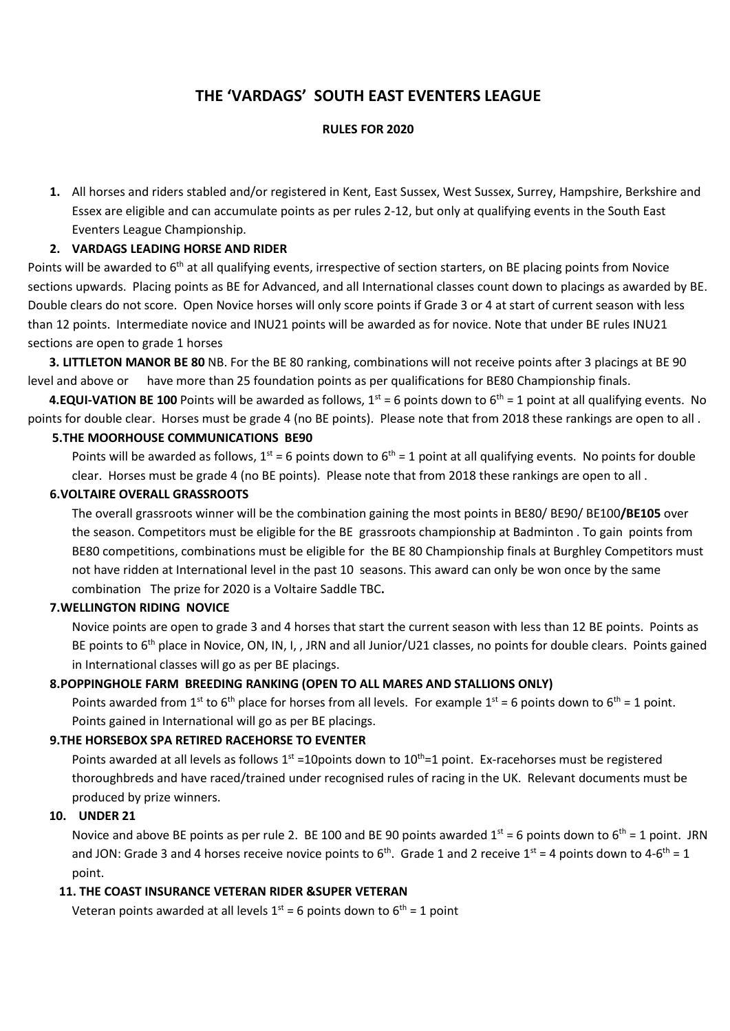# **THE 'VARDAGS' SOUTH EAST EVENTERS LEAGUE**

#### **RULES FOR 2020**

**1.** All horses and riders stabled and/or registered in Kent, East Sussex, West Sussex, Surrey, Hampshire, Berkshire and Essex are eligible and can accumulate points as per rules 2-12, but only at qualifying events in the South East Eventers League Championship.

## **2. VARDAGS LEADING HORSE AND RIDER**

Points will be awarded to 6<sup>th</sup> at all qualifying events, irrespective of section starters, on BE placing points from Novice sections upwards. Placing points as BE for Advanced, and all International classes count down to placings as awarded by BE. Double clears do not score. Open Novice horses will only score points if Grade 3 or 4 at start of current season with less than 12 points. Intermediate novice and INU21 points will be awarded as for novice. Note that under BE rules INU21 sections are open to grade 1 horses

 **3. LITTLETON MANOR BE 80** NB. For the BE 80 ranking, combinations will not receive points after 3 placings at BE 90 level and above or have more than 25 foundation points as per qualifications for BE80 Championship finals.

**4.EQUI-VATION BE 100** Points will be awarded as follows,  $1^{st} = 6$  points down to  $6^{th} = 1$  point at all qualifying events. No points for double clear. Horses must be grade 4 (no BE points). Please note that from 2018 these rankings are open to all .

## **5.THE MOORHOUSE COMMUNICATIONS BE90**

Points will be awarded as follows,  $1^{st}$  = 6 points down to  $6^{th}$  = 1 point at all qualifying events. No points for double clear. Horses must be grade 4 (no BE points). Please note that from 2018 these rankings are open to all .

#### **6.VOLTAIRE OVERALL GRASSROOTS**

The overall grassroots winner will be the combination gaining the most points in BE80/ BE90/ BE100**/BE105** over the season. Competitors must be eligible for the BE grassroots championship at Badminton . To gain points from BE80 competitions, combinations must be eligible for the BE 80 Championship finals at Burghley Competitors must not have ridden at International level in the past 10 seasons. This award can only be won once by the same combination The prize for 2020 is a Voltaire Saddle TBC**.**

## **7.WELLINGTON RIDING NOVICE**

Novice points are open to grade 3 and 4 horses that start the current season with less than 12 BE points. Points as BE points to 6<sup>th</sup> place in Novice, ON, IN, I, , JRN and all Junior/U21 classes, no points for double clears. Points gained in International classes will go as per BE placings.

## **8.POPPINGHOLE FARM BREEDING RANKING (OPEN TO ALL MARES AND STALLIONS ONLY)**

Points awarded from 1<sup>st</sup> to 6<sup>th</sup> place for horses from all levels. For example 1<sup>st</sup> = 6 points down to 6<sup>th</sup> = 1 point. Points gained in International will go as per BE placings.

## **9.THE HORSEBOX SPA RETIRED RACEHORSE TO EVENTER**

Points awarded at all levels as follows  $1<sup>st</sup> = 10$  points down to  $10<sup>th</sup>=1$  point. Ex-racehorses must be registered thoroughbreds and have raced/trained under recognised rules of racing in the UK. Relevant documents must be produced by prize winners.

## **10. UNDER 21**

Novice and above BE points as per rule 2. BE 100 and BE 90 points awarded  $1^{st}$  = 6 points down to 6<sup>th</sup> = 1 point. JRN and JON: Grade 3 and 4 horses receive novice points to  $6^{th}$ . Grade 1 and 2 receive  $1^{st}$  = 4 points down to 4- $6^{th}$  = 1 point.

## **11. THE COAST INSURANCE VETERAN RIDER &SUPER VETERAN**

Veteran points awarded at all levels  $1^{st} = 6$  points down to  $6^{th} = 1$  point